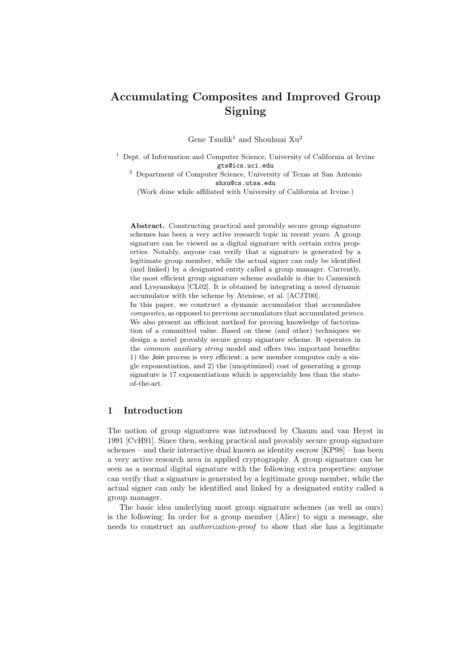# Accumulating Composites and Improved Group Signing

Gene Tsudik<sup>1</sup> and Shouhuai  $Xu^2$ 

<sup>1</sup> Dept. of Information and Computer Science, University of California at Irvine gts@ics.uci.edu

<sup>2</sup> Department of Computer Science, University of Texas at San Antonio shxu@cs.utsa.edu

(Work done while affiliated with University of California at Irvine.)

Abstract. Constructing practical and provably secure group signature schemes has been a very active research topic in recent years. A group signature can be viewed as a digital signature with certain extra properties. Notably, anyone can verify that a signature is generated by a legitimate group member, while the actual signer can only be identified (and linked) by a designated entity called a group manager. Currently, the most efficient group signature scheme available is due to Camenisch and Lysyanskaya [CL02]. It is obtained by integrating a novel dynamic accumulator with the scheme by Ateniese, et al. [ACJT00]. In this paper, we construct a dynamic accumulator that accumulates composites, as opposed to previous accumulators that accumulated primes.

We also present an efficient method for proving knowledge of factorization of a committed value. Based on these (and other) techniques we design a novel provably secure group signature scheme. It operates in the common auxiliary string model and offers two important benefits: 1) the Join process is very efficient: a new member computes only a single exponentiation, and 2) the (unoptimized) cost of generating a group signature is 17 exponentiations which is appreciably less than the stateof-the-art.

# 1 Introduction

The notion of group signatures was introduced by Chaum and van Heyst in 1991 [CvH91]. Since then, seeking practical and provably secure group signature schemes – and their interactive dual known as identity escrow [KP98] – has been a very active research area in applied cryptography. A group signature can be seen as a normal digital signature with the following extra properties: anyone can verify that a signature is generated by a legitimate group member, while the actual signer can only be identified and linked by a designated entity called a group manager.

The basic idea underlying most group signature schemes (as well as ours) is the following: In order for a group member (Alice) to sign a message, she needs to construct an *authorization-proof* to show that she has a legitimate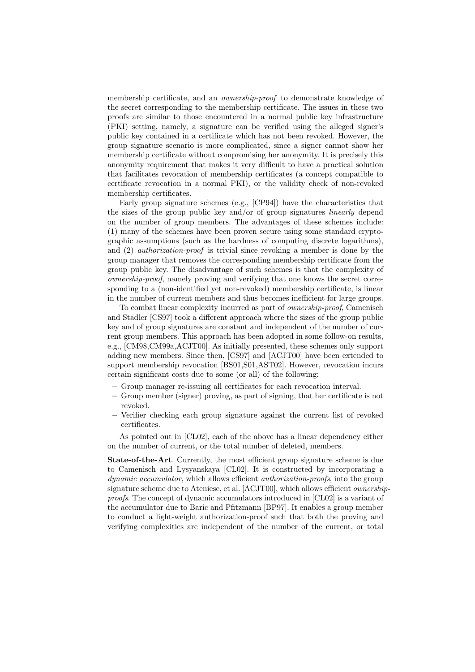membership certificate, and an *ownership-proof* to demonstrate knowledge of the secret corresponding to the membership certificate. The issues in these two proofs are similar to those encountered in a normal public key infrastructure (PKI) setting, namely, a signature can be verified using the alleged signer's public key contained in a certificate which has not been revoked. However, the group signature scenario is more complicated, since a signer cannot show her membership certificate without compromising her anonymity. It is precisely this anonymity requirement that makes it very difficult to have a practical solution that facilitates revocation of membership certificates (a concept compatible to certificate revocation in a normal PKI), or the validity check of non-revoked membership certificates.

Early group signature schemes (e.g., [CP94]) have the characteristics that the sizes of the group public key and/or of group signatures linearly depend on the number of group members. The advantages of these schemes include: (1) many of the schemes have been proven secure using some standard cryptographic assumptions (such as the hardness of computing discrete logarithms), and (2) authorization-proof is trivial since revoking a member is done by the group manager that removes the corresponding membership certificate from the group public key. The disadvantage of such schemes is that the complexity of ownership-proof, namely proving and verifying that one knows the secret corresponding to a (non-identified yet non-revoked) membership certificate, is linear in the number of current members and thus becomes inefficient for large groups.

To combat linear complexity incurred as part of ownership-proof, Camenisch and Stadler [CS97] took a different approach where the sizes of the group public key and of group signatures are constant and independent of the number of current group members. This approach has been adopted in some follow-on results, e.g., [CM98,CM99a,ACJT00]. As initially presented, these schemes only support adding new members. Since then, [CS97] and [ACJT00] have been extended to support membership revocation [BS01,S01,AST02]. However, revocation incurs certain significant costs due to some (or all) of the following:

- Group manager re-issuing all certificates for each revocation interval.
- Group member (signer) proving, as part of signing, that her certificate is not revoked.
- Verifier checking each group signature against the current list of revoked certificates.

As pointed out in [CL02], each of the above has a linear dependency either on the number of current, or the total number of deleted, members.

State-of-the-Art. Currently, the most efficient group signature scheme is due to Camenisch and Lysyanskaya [CL02]. It is constructed by incorporating a dynamic accumulator, which allows efficient *authorization-proofs*, into the group signature scheme due to Ateniese, et al. [ACJT00], which allows efficient ownershipproofs. The concept of dynamic accumulators introduced in [CL02] is a variant of the accumulator due to Baric and Pfitzmann [BP97]. It enables a group member to conduct a light-weight authorization-proof such that both the proving and verifying complexities are independent of the number of the current, or total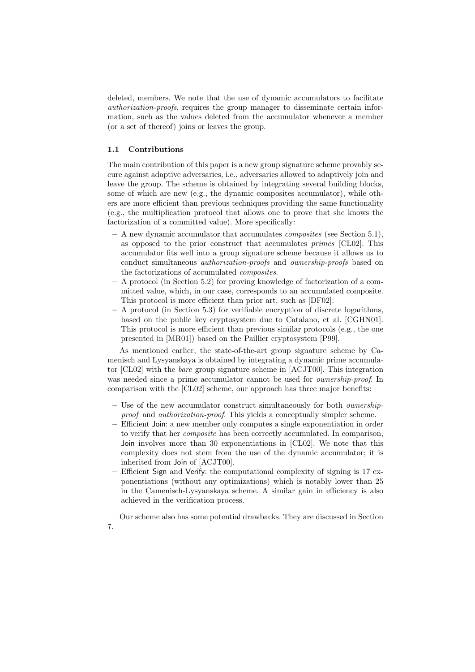deleted, members. We note that the use of dynamic accumulators to facilitate authorization-proofs, requires the group manager to disseminate certain information, such as the values deleted from the accumulator whenever a member (or a set of thereof) joins or leaves the group.

#### 1.1 Contributions

The main contribution of this paper is a new group signature scheme provably secure against adaptive adversaries, i.e., adversaries allowed to adaptively join and leave the group. The scheme is obtained by integrating several building blocks, some of which are new (e.g., the dynamic composites accumulator), while others are more efficient than previous techniques providing the same functionality (e.g., the multiplication protocol that allows one to prove that she knows the factorization of a committed value). More specifically:

- $-$  A new dynamic accumulator that accumulates *composites* (see Section 5.1), as opposed to the prior construct that accumulates primes [CL02]. This accumulator fits well into a group signature scheme because it allows us to conduct simultaneous authorization-proofs and ownership-proofs based on the factorizations of accumulated composites.
- A protocol (in Section 5.2) for proving knowledge of factorization of a committed value, which, in our case, corresponds to an accumulated composite. This protocol is more efficient than prior art, such as [DF02].
- A protocol (in Section 5.3) for verifiable encryption of discrete logarithms, based on the public key cryptosystem due to Catalano, et al. [CGHN01]. This protocol is more efficient than previous similar protocols (e.g., the one presented in [MR01]) based on the Paillier cryptosystem [P99].

As mentioned earlier, the state-of-the-art group signature scheme by Camenisch and Lysyanskaya is obtained by integrating a dynamic prime accumulator [CL02] with the bare group signature scheme in [ACJT00]. This integration was needed since a prime accumulator cannot be used for *ownership-proof*. In comparison with the [CL02] scheme, our approach has three major benefits:

- Use of the new accumulator construct simultaneously for both ownershipproof and authorization-proof. This yields a conceptually simpler scheme.
- Efficient Join: a new member only computes a single exponentiation in order to verify that her composite has been correctly accumulated. In comparison, Join involves more than 30 exponentiations in [CL02]. We note that this complexity does not stem from the use of the dynamic accumulator; it is inherited from Join of [ACJT00].
- Efficient Sign and Verify: the computational complexity of signing is 17 exponentiations (without any optimizations) which is notably lower than 25 in the Camenisch-Lysyanskaya scheme. A similar gain in efficiency is also achieved in the verification process.

Our scheme also has some potential drawbacks. They are discussed in Section 7.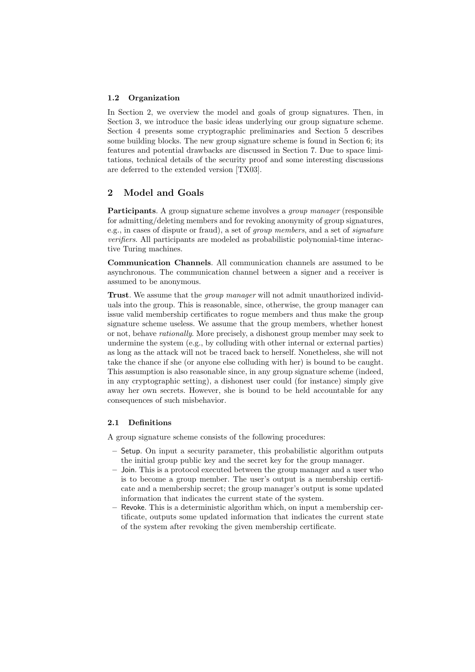#### 1.2 Organization

In Section 2, we overview the model and goals of group signatures. Then, in Section 3, we introduce the basic ideas underlying our group signature scheme. Section 4 presents some cryptographic preliminaries and Section 5 describes some building blocks. The new group signature scheme is found in Section 6; its features and potential drawbacks are discussed in Section 7. Due to space limitations, technical details of the security proof and some interesting discussions are deferred to the extended version [TX03].

# 2 Model and Goals

Participants. A group signature scheme involves a group manager (responsible for admitting/deleting members and for revoking anonymity of group signatures, e.g., in cases of dispute or fraud), a set of group members, and a set of signature verifiers. All participants are modeled as probabilistic polynomial-time interactive Turing machines.

Communication Channels. All communication channels are assumed to be asynchronous. The communication channel between a signer and a receiver is assumed to be anonymous.

Trust. We assume that the group manager will not admit unauthorized individuals into the group. This is reasonable, since, otherwise, the group manager can issue valid membership certificates to rogue members and thus make the group signature scheme useless. We assume that the group members, whether honest or not, behave rationally. More precisely, a dishonest group member may seek to undermine the system (e.g., by colluding with other internal or external parties) as long as the attack will not be traced back to herself. Nonetheless, she will not take the chance if she (or anyone else colluding with her) is bound to be caught. This assumption is also reasonable since, in any group signature scheme (indeed, in any cryptographic setting), a dishonest user could (for instance) simply give away her own secrets. However, she is bound to be held accountable for any consequences of such misbehavior.

#### 2.1 Definitions

A group signature scheme consists of the following procedures:

- Setup. On input a security parameter, this probabilistic algorithm outputs the initial group public key and the secret key for the group manager.
- Join. This is a protocol executed between the group manager and a user who is to become a group member. The user's output is a membership certificate and a membership secret; the group manager's output is some updated information that indicates the current state of the system.
- Revoke. This is a deterministic algorithm which, on input a membership certificate, outputs some updated information that indicates the current state of the system after revoking the given membership certificate.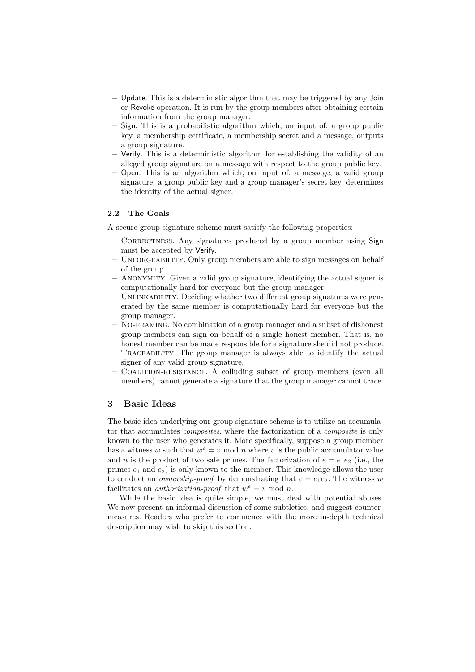- Update. This is a deterministic algorithm that may be triggered by any Join or Revoke operation. It is run by the group members after obtaining certain information from the group manager.
- Sign. This is a probabilistic algorithm which, on input of: a group public key, a membership certificate, a membership secret and a message, outputs a group signature.
- Verify. This is a deterministic algorithm for establishing the validity of an alleged group signature on a message with respect to the group public key.
- Open. This is an algorithm which, on input of: a message, a valid group signature, a group public key and a group manager's secret key, determines the identity of the actual signer.

# 2.2 The Goals

A secure group signature scheme must satisfy the following properties:

- Correctness. Any signatures produced by a group member using Sign must be accepted by Verify.
- Unforgeability. Only group members are able to sign messages on behalf of the group.
- Anonymity. Given a valid group signature, identifying the actual signer is computationally hard for everyone but the group manager.
- UNLINKABILITY. Deciding whether two different group signatures were generated by the same member is computationally hard for everyone but the group manager.
- No-framing. No combination of a group manager and a subset of dishonest group members can sign on behalf of a single honest member. That is, no honest member can be made responsible for a signature she did not produce.
- Traceability. The group manager is always able to identify the actual signer of any valid group signature.
- Coalition-resistance. A colluding subset of group members (even all members) cannot generate a signature that the group manager cannot trace.

## 3 Basic Ideas

The basic idea underlying our group signature scheme is to utilize an accumulator that accumulates composites, where the factorization of a composite is only known to the user who generates it. More specifically, suppose a group member has a witness w such that  $w^e = v \mod n$  where v is the public accumulator value and *n* is the product of two safe primes. The factorization of  $e = e_1e_2$  (i.e., the primes  $e_1$  and  $e_2$ ) is only known to the member. This knowledge allows the user to conduct an *ownership-proof* by demonstrating that  $e = e_1e_2$ . The witness w facilitates an *authorization-proof* that  $w^e = v \mod n$ .

While the basic idea is quite simple, we must deal with potential abuses. We now present an informal discussion of some subtleties, and suggest countermeasures. Readers who prefer to commence with the more in-depth technical description may wish to skip this section.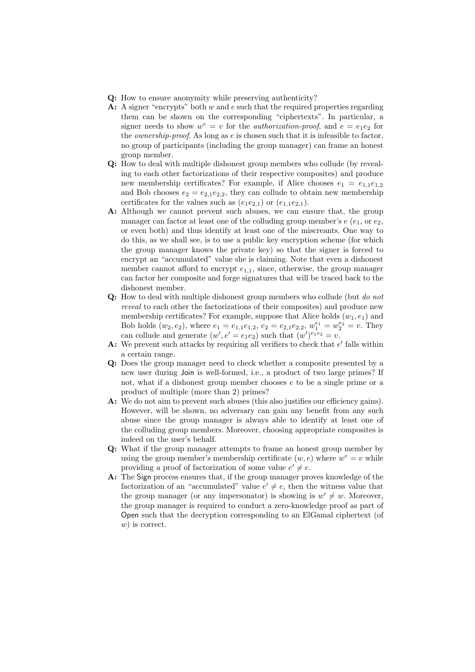- Q: How to ensure anonymity while preserving authenticity?
- **A:** A signer "encrypts" both w and e such that the required properties regarding them can be shown on the corresponding "ciphertexts". In particular, a signer needs to show  $w^e = v$  for the *authorization-proof*, and  $e = e_1 e_2$  for the *ownership-proof.* As long as  $e$  is chosen such that it is infeasible to factor, no group of participants (including the group manager) can frame an honest group member.
- Q: How to deal with multiple dishonest group members who collude (by revealing to each other factorizations of their respective composites) and produce new membership certificates? For example, if Alice chooses  $e_1 = e_{1,1}e_{1,2}$ and Bob chooses  $e_2 = e_{2,1}e_{2,2}$ , they can collude to obtain new membership certificates for the values such as  $(e_1e_{2,1})$  or  $(e_{1,1}e_{2,1})$ .
- A: Although we cannot prevent such abuses, we can ensure that, the group manager can factor at least one of the colluding group member's  $e$  ( $e_1$ , or  $e_2$ , or even both) and thus identify at least one of the miscreants. One way to do this, as we shall see, is to use a public key encryption scheme (for which the group manager knows the private key) so that the signer is forced to encrypt an "accumulated" value she is claiming. Note that even a dishonest member cannot afford to encrypt  $e_{1,1}$ , since, otherwise, the group manager can factor her composite and forge signatures that will be traced back to the dishonest member.
- Q: How to deal with multiple dishonest group members who collude (but do not reveal to each other the factorizations of their composites) and produce new membership certificates? For example, suppose that Alice holds  $(w_1, e_1)$  and Bob holds  $(w_2, e_2)$ , where  $e_1 = e_{1,1}e_{1,2}, e_2 = e_{2,1}e_{2,2}, w_1^{e_1} = w_2^{e_2} = v$ . They can collude and generate  $(w', e' = e_1e_2)$  such that  $(w')^{e_1e_2} = v$ .
- A: We prevent such attacks by requiring all verifiers to check that  $e'$  falls within a certain range.
- Q: Does the group manager need to check whether a composite presented by a new user during Join is well-formed, i.e., a product of two large primes? If not, what if a dishonest group member chooses e to be a single prime or a product of multiple (more than 2) primes?
- A: We do not aim to prevent such abuses (this also justifies our efficiency gains). However, will be shown, no adversary can gain any benefit from any such abuse since the group manager is always able to identify at least one of the colluding group members. Moreover, choosing appropriate composites is indeed on the user's behalf.
- Q: What if the group manager attempts to frame an honest group member by using the group member's membership certificate  $(w, e)$  where  $w^e = v$  while providing a proof of factorization of some value  $e' \neq e$ .
- A: The Sign process ensures that, if the group manager proves knowledge of the factorization of an "accumulated" value  $e' \neq e$ , then the witness value that the group manager (or any impersonator) is showing is  $w' \neq w$ . Moreover, the group manager is required to conduct a zero-knowledge proof as part of Open such that the decryption corresponding to an ElGamal ciphertext (of w) is correct.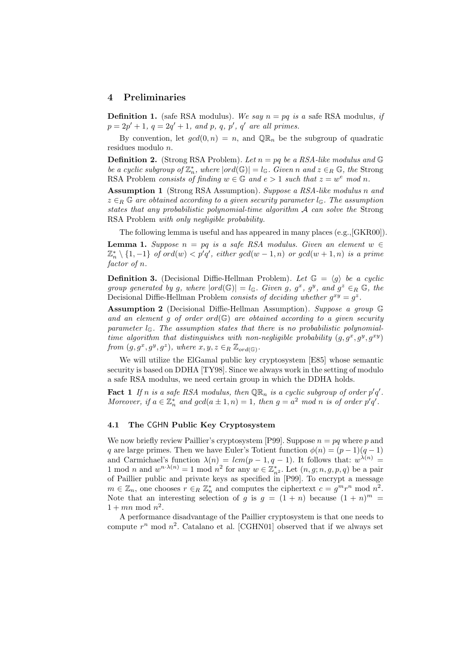# 4 Preliminaries

**Definition 1.** (safe RSA modulus). We say  $n = pq$  is a safe RSA modulus, if  $p = 2p' + 1, q = 2q' + 1, and p, q, p', q'$  are all primes.

By convention, let  $gcd(0, n) = n$ , and  $\mathbb{QR}_n$  be the subgroup of quadratic residues modulo n.

**Definition 2.** (Strong RSA Problem). Let  $n = pq$  be a RSA-like modulus and G be a cyclic subgroup of  $\mathbb{Z}_n^*$ , where  $|ord(\mathbb{G})|=l_{\mathbb{G}}$ . Given n and  $z \in_R \mathbb{G}$ , the Strong RSA Problem consists of finding  $w \in \mathbb{G}$  and  $e > 1$  such that  $z = w^e \mod n$ .

Assumption 1 (Strong RSA Assumption). Suppose a RSA-like modulus n and  $z \in_R \mathbb{G}$  are obtained according to a given security parameter  $l_{\mathbb{G}}$ . The assumption states that any probabilistic polynomial-time algorithm A can solve the Strong RSA Problem with only negligible probability.

The following lemma is useful and has appeared in many places (e.g.,[GKR00]).

**Lemma 1.** Suppose  $n = pq$  is a safe RSA modulus. Given an element  $w \in$  $\mathbb{Z}_n^* \setminus \{1,-1\}$  of  $ord(w) < p'q'$ , either  $gcd(w-1,n)$  or  $gcd(w+1,n)$  is a prime factor of n.

**Definition 3.** (Decisional Diffie-Hellman Problem). Let  $\mathbb{G} = \langle q \rangle$  be a cyclic group generated by g, where  $|ord(\mathbb{G})| = l_{\mathbb{G}}$ . Given g,  $g^x$ ,  $g^y$ , and  $g^z \in_R \mathbb{G}$ , the Decisional Diffie-Hellman Problem consists of deciding whether  $g^{xy} = g^z$ .

Assumption 2 (Decisional Diffie-Hellman Assumption). Suppose a group G and an element g of order  $ord(\mathbb{G})$  are obtained according to a given security parameter  $l_{\mathbb{G}}$ . The assumption states that there is no probabilistic polynomialtime algorithm that distinguishes with non-negligible probability  $(g, g^x, g^y, g^{xy})$ from  $(g, g^x, g^y, g^z)$ , where  $x, y, z \in_R \mathbb{Z}_{ord(\mathbb{G})}$ .

We will utilize the ElGamal public key cryptosystem [E85] whose semantic security is based on DDHA [TY98]. Since we always work in the setting of modulo a safe RSA modulus, we need certain group in which the DDHA holds.

Fact 1 If n is a safe RSA modulus, then  $\mathbb{QR}_n$  is a cyclic subgroup of order  $p'q'$ . Moreover, if  $a \in \mathbb{Z}_n^*$  and  $gcd(a \pm 1, n) = 1$ , then  $g = a^2 \mod n$  is of order  $p'q'$ .

## 4.1 The CGHN Public Key Cryptosystem

We now briefly review Paillier's cryptosystem [P99]. Suppose  $n = pq$  where p and q are large primes. Then we have Euler's Totient function  $\phi(n) = (p-1)(q-1)$ and Carmichael's function  $\lambda(n) = lcm(p-1, q-1)$ . It follows that:  $w^{\lambda(n)} =$ 1 mod *n* and  $w^{n \cdot \lambda(n)} = 1$  mod  $n^2$  for any  $w \in \mathbb{Z}_{n^2}^*$ . Let  $(n, g; n, g, p, q)$  be a pair of Paillier public and private keys as specified in [P99]. To encrypt a message  $m \in \mathbb{Z}_n$ , one chooses  $r \in_R \mathbb{Z}_n^*$  and computes the ciphertext  $c = g^m r^n \mod n^2$ . Note that an interesting selection of g is  $g = (1 + n)$  because  $(1 + n)^m$  $1 + mn \mod n^2$ .

A performance disadvantage of the Paillier cryptosystem is that one needs to compute  $r^n$  mod  $n^2$ . Catalano et al. [CGHN01] observed that if we always set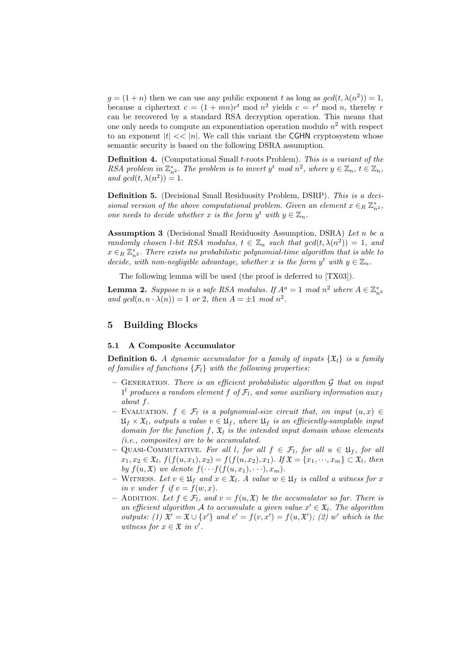$g = (1 + n)$  then we can use any public exponent t as long as  $gcd(t, \lambda(n^2)) = 1$ , because a ciphertext  $c = (1 + mn)r^t \mod n^2$  yields  $c = r^t \mod n$ , thereby r can be recovered by a standard RSA decryption operation. This means that one only needs to compute an exponentiation operation modulo  $n^2$  with respect to an exponent  $|t| \ll |n|$ . We call this variant the CGHN cryptosystem whose semantic security is based on the following DSRA assumption.

Definition 4. (Computational Small t-roots Problem). This is a variant of the RSA problem in  $\mathbb{Z}_{n^2}^*$ . The problem is to invert  $y^t \mod n^2$ , where  $y \in \mathbb{Z}_n$ ,  $t \in \mathbb{Z}_n$ , and  $gcd(t, \lambda(n^2)) = 1$ .

Definition 5. (Decisional Small Residuosity Problem, DSRP). This is a decisional version of the above computational problem. Given an element  $x \in_R \mathbb{Z}_{n^2}^*$ , one needs to decide whether x is the form  $y^t$  with  $y \in \mathbb{Z}_n$ .

Assumption 3 (Decisional Small Residuosity Assumption, DSRA) Let n be a randomly chosen l-bit RSA modulus,  $t \in \mathbb{Z}_n$  such that  $gcd(t, \lambda(n^2)) = 1$ , and  $x \in_R \mathbb{Z}_{n^2}^*$ . There exists no probabilistic polynomial-time algorithm that is able to decide, with non-negligible advantage, whether x is the form  $y^t$  with  $y \in \mathbb{Z}_n$ .

The following lemma will be used (the proof is deferred to [TX03]).

**Lemma 2.** Suppose n is a safe RSA modulus. If  $A^a = 1 \mod n^2$  where  $A \in \mathbb{Z}_{n^2}^*$ and  $gcd(a, n \cdot \lambda(n)) = 1$  or 2, then  $A = \pm 1 \mod n^2$ .

# 5 Building Blocks

### 5.1 A Composite Accumulator

**Definition 6.** A dynamic accumulator for a family of inputs  $\{\mathfrak{X}_l\}$  is a family of families of functions  $\{\mathcal{F}_l\}$  with the following properties:

- $-$  GENERATION. There is an efficient probabilistic algorithm  $\mathcal G$  that on input  $1<sup>l</sup>$  produces a random element f of  $\mathcal{F}_l$ , and some auxiliary information aux<sub>f</sub> about f.
- EVALUATION.  $f \in \mathcal{F}_l$  is a polynomial-size circuit that, on input  $(u, x) \in$  $\mathfrak{U}_f \times \mathfrak{X}_l$ , outputs a value  $v \in \mathfrak{U}_f$ , where  $\mathfrak{U}_f$  is an efficiently-samplable input domain for the function f,  $\mathfrak{X}_l$  is the intended input domain whose elements (i.e., composites) are to be accumulated.
- QUASI-COMMUTATIVE. For all l, for all  $f \in \mathcal{F}_l$ , for all  $u \in \mathfrak{U}_f$ , for all  $x_1, x_2 \in \mathfrak{X}_l, f(f(u, x_1), x_2) = f(f(u, x_2), x_1).$  If  $\mathfrak{X} = \{x_1, \dots, x_m\} \subset \mathfrak{X}_l$ , then by  $f(u, \mathfrak{X})$  we denote  $f(\cdot \cdot \cdot f(f(u, x_1), \cdot \cdot \cdot), x_m)$ .
- WITNESS. Let  $v \in \mathfrak{U}_f$  and  $x \in \mathfrak{X}_l$ . A value  $w \in \mathfrak{U}_f$  is called a witness for x in v under f if  $v = f(w, x)$ .
- ADDITION. Let  $f \in \mathcal{F}_l$ , and  $v = f(u, \mathfrak{X})$  be the accumulator so far. There is an efficient algorithm A to accumulate a given value  $x' \in \mathfrak{X}_l$ . The algorithm outputs: (1)  $\mathfrak{X}' = \mathfrak{X} \cup \{x'\}$  and  $v' = f(v, x') = f(u, \mathfrak{X}');$  (2) w' which is the witness for  $x \in \mathfrak{X}$  in  $v'$ .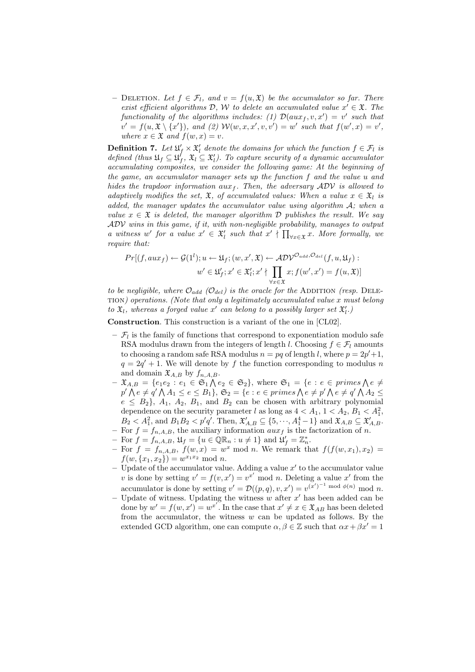– DELETION. Let  $f \in \mathcal{F}_l$ , and  $v = f(u, \mathfrak{X})$  be the accumulator so far. There exist efficient algorithms  $D, W$  to delete an accumulated value  $x' \in \mathfrak{X}$ . The functionality of the algorithms includes: (1)  $\mathcal{D}(aux_f, v, x') = v'$  such that  $v' = f(u, \mathfrak{X} \setminus \{x'\})$ , and (2)  $\mathcal{W}(w, x, x', v, v') = w'$  such that  $f(w', x) = v'$ , where  $x \in \mathfrak{X}$  and  $f(w, x) = v$ .

**Definition 7.** Let  $\mathfrak{U}'_f \times \mathfrak{X}'_l$  denote the domains for which the function  $f \in \mathcal{F}_l$  is defined (thus  $\mathfrak{U}_f \subseteq \mathfrak{U}_f^{\prime}$ ,  $\mathfrak{X}_l \subseteq \mathfrak{X}_l^{\prime}$ ). To capture security of a dynamic accumulator accumulating composites, we consider the following game: At the beginning of the game, an accumulator manager sets up the function f and the value u and hides the trapdoor information aux<sub>f</sub>. Then, the adversary  $ADV$  is allowed to adaptively modifies the set,  $\mathfrak{X}$ , of accumulated values: When a value  $x \in \mathfrak{X}_l$  is added, the manager updates the accumulator value using algorithm A; when a value  $x \in \mathfrak{X}$  is deleted, the manager algorithm  $\mathcal D$  publishes the result. We say  $\mathcal{ADV}$  wins in this game, if it, with non-negligible probability, manages to output a witness w' for a value  $x' \in \mathfrak{X}'_l$  such that  $x' \nmid \prod_{\forall x \in \mathfrak{X}} x$ . More formally, we require that:

$$
Pr[(f, aux_f) \leftarrow \mathcal{G}(1^l); u \leftarrow \mathfrak{U}_f; (w, x', \mathfrak{X}) \leftarrow \mathcal{ADV}^{\mathcal{O}_{add}, \mathcal{O}_{del}}(f, u, \mathfrak{U}_f) :
$$
  

$$
w' \in \mathfrak{U}'_f; x' \in \mathfrak{X}'_t; x' \nmid \prod_{\forall x \in \mathfrak{X}} x; f(w', x') = f(u, \mathfrak{X})]
$$

to be negligible, where  $\mathcal{O}_{add}$  ( $\mathcal{O}_{del}$ ) is the oracle for the ADDITION (resp. DELE- $TION$ ) operations. (Note that only a legitimately accumulated value x must belong to  $\mathfrak{X}_l$ , whereas a forged value  $x'$  can belong to a possibly larger set  $\mathfrak{X}'_l$ .)

Construction. This construction is a variant of the one in [CL02].

- $\mathcal{F}_l$  is the family of functions that correspond to exponentiation modulo safe RSA modulus drawn from the integers of length l. Choosing  $f \in \mathcal{F}_l$  amounts to choosing a random safe RSA modulus  $n = pq$  of length l, where  $p = 2p'+1$ ,  $q = 2q' + 1$ . We will denote by f the function corresponding to modulus n and domain  $\mathfrak{X}_{A,B}$  by  $f_{n,A,B}$ .
- and domain  $\mathfrak{X}_{A,B}$  by  $f_{n,A,B}$ .<br>  $-\mathfrak{X}_{A,B} = \{e_1e_2 : e_1 \in \mathfrak{S}_1 \setminus e_2 \in \mathfrak{S}_2\}$ , where  $\mathfrak{S}_1 = \{e : e \in primes \setminus e \neq \emptyset \setminus e \neq \emptyset \setminus e \neq \emptyset \setminus e \neq \emptyset \setminus e \neq \emptyset \setminus e \neq \emptyset \setminus e \neq \emptyset \setminus e \neq \emptyset \setminus e \neq \emptyset \cup e \neq \emptyset \cup e \ne$  $x_{A,B} = \{e_1e_2 : e_1 \in \mathfrak{S}_1 \mid e_2 \in \mathfrak{S}_2\}, \text{ where } \mathfrak{S}_1 = \{e : e \in \text{primes } \land e \neq \text{primes } \land e \neq \text{primes } \land e \neq \text{primes } \land e \neq \text{primes } \land e \neq \text{primes } \land e \neq \text{primes } \land e \neq \text{primes } \land e \neq \text{primes } \land e \neq \text{primes } \land e \neq \text{primes } \land e \neq \text{primes } \land e \neq \text{primes } \land e \$  $e \leq B_2$ ,  $A_1$ ,  $A_2$ ,  $B_1$ , and  $B_2$  can be chosen with arbitrary polynomial dependence on the security parameter l as long as  $4 < A_1$ ,  $1 < A_2$ ,  $B_1 < A_1^2$ ,  $B_2 < A_1^2$ , and  $B_1 B_2 < p'q'$ . Then,  $\mathfrak{X}_{A,B}' \subseteq \{5, \dots, A_1^4-1\}$  and  $\mathfrak{X}_{A,B} \subseteq \mathfrak{X}_{A,B}'$ .
- For  $f = f_{n,A,B}$ , the auxiliary information  $aux_f$  is the factorization of n.
- For  $f = f_{n,A,B}$ ,  $\mathfrak{U}_f = \{u \in \mathbb{QR}_n : u \neq 1\}$  and  $\mathfrak{U}'_f = \mathbb{Z}_n^*$ .
- For  $f = f_{n,A,B}$ ,  $f(w, x) = w^x \mod n$ . We remark that  $f(f(w, x_1), x_2) =$  $f(w, \{x_1, x_2\}) = w^{x_1 x_2} \text{ mod } n.$
- $-$  Update of the accumulator value. Adding a value  $x'$  to the accumulator value v is done by setting  $v' = f(v, x') = v^{x'} \mod n$ . Deleting a value x' from the accumulator is done by setting  $v' = \mathcal{D}((p,q), v, x') = v^{(x')^{-1} \bmod{\phi(n)}} \bmod{n}$ .
- Update of witness. Updating the witness  $w$  after  $x'$  has been added can be done by  $w' = f(w, x') = w^{x'}$ . In the case that  $x' \neq x \in \mathfrak{X}_{AB}$  has been deleted from the accumulator, the witness  $w$  can be updated as follows. By the extended GCD algorithm, one can compute  $\alpha, \beta \in \mathbb{Z}$  such that  $\alpha x + \beta x' = 1$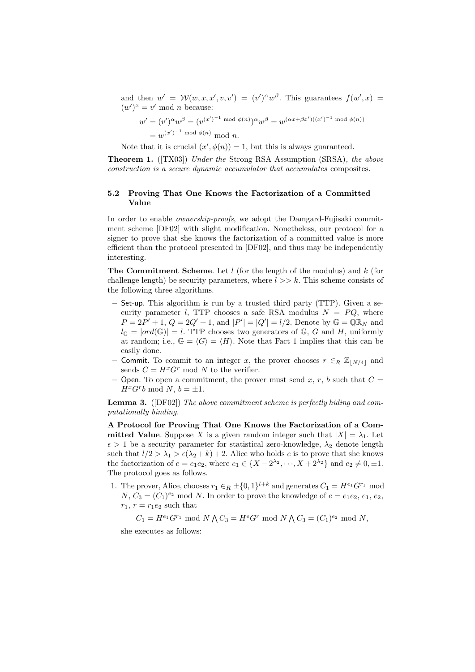and then  $w' = \mathcal{W}(w, x, x', v, v') = (v')^{\alpha} w^{\beta}$ . This guarantees  $f(w', x) =$  $(w')^x = v' \mod n$  because:

$$
w' = (v')^{\alpha} w^{\beta} = (v^{(x')^{-1} \mod \phi(n)})^{\alpha} w^{\beta} = w^{(\alpha x + \beta x')((x')^{-1} \mod \phi(n))}
$$
  
=  $w^{(x')^{-1} \mod \phi(n)} \mod n$ .

Note that it is crucial  $(x', \phi(n)) = 1$ , but this is always guaranteed.

**Theorem 1.** ([TX03]) Under the Strong RSA Assumption (SRSA), the above construction is a secure dynamic accumulator that accumulates composites.

# 5.2 Proving That One Knows the Factorization of a Committed Value

In order to enable *ownership-proofs*, we adopt the Damgard-Fujisaki commitment scheme [DF02] with slight modification. Nonetheless, our protocol for a signer to prove that she knows the factorization of a committed value is more efficient than the protocol presented in [DF02], and thus may be independently interesting.

**The Commitment Scheme.** Let  $l$  (for the length of the modulus) and  $k$  (for challenge length) be security parameters, where  $l \gg k$ . This scheme consists of the following three algorithms.

- Set-up. This algorithm is run by a trusted third party (TTP). Given a security parameter l, TTP chooses a safe RSA modulus  $N = PQ$ , where  $P = 2P' + 1, Q = 2Q' + 1$ , and  $|P'| = |Q'| = l/2$ . Denote by  $\mathbb{G} = \mathbb{Q}\mathbb{R}_N$  and  $l_{\mathbb{G}} = |ord(\mathbb{G})| = l$ . TTP chooses two generators of  $\mathbb{G}$ , G and H, uniformly at random; i.e.,  $\mathbb{G} = \langle G \rangle = \langle H \rangle$ . Note that Fact 1 implies that this can be easily done.
- Commit. To commit to an integer x, the prover chooses  $r \in_R \mathbb{Z}_{|N/4|}$  and sends  $C = H^xG^r$  mod N to the verifier.
- Open. To open a commitment, the prover must send x, r, b such that  $C =$  $H^xG^rb \bmod N, b = \pm 1.$

**Lemma 3.** ([DF02]) The above commitment scheme is perfectly hiding and computationally binding.

A Protocol for Proving That One Knows the Factorization of a Com**mitted Value.** Suppose X is a given random integer such that  $|X| = \lambda_1$ . Let  $\epsilon > 1$  be a security parameter for statistical zero-knowledge,  $\lambda_2$  denote length such that  $l/2 > \lambda_1 > \epsilon(\lambda_2 + k) + 2$ . Alice who holds e is to prove that she knows the factorization of  $e = e_1e_2$ , where  $e_1 \in \{X - 2^{\lambda_2}, \dots, X + 2^{\lambda_2}\}\$  and  $e_2 \neq 0, \pm 1$ . The protocol goes as follows.

1. The prover, Alice, chooses  $r_1 \in_R \pm \{0,1\}^{l+k}$  and generates  $C_1 = H^{e_1}G^{r_1}$  mod  $N, C_3 = (C_1)^{e_2} \text{ mod } N.$  In order to prove the knowledge of  $e = e_1 e_2, e_1, e_2,$  $r_1, r = r_1e_2$  such that

 $C_1 = H^{e_1}G^{r_1} \text{ mod } N \bigwedge C_3 = H^eG^r \text{ mod } N \bigwedge C_3 = (C_1)^{e_2} \text{ mod } N,$ 

she executes as follows: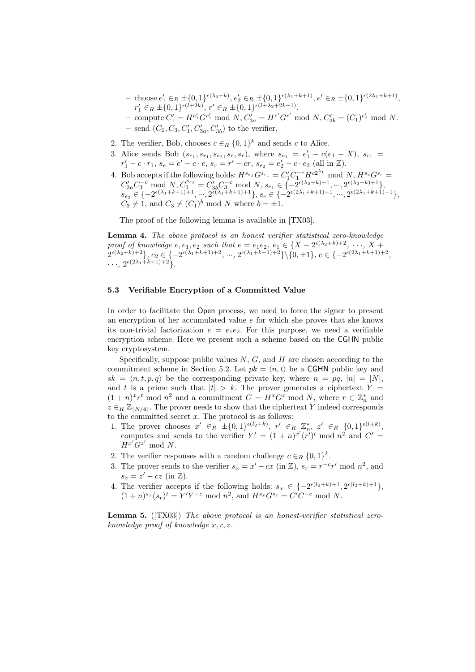- − choose  $e'_1 \in_R \pm \{0,1\}^{\epsilon(\lambda_2+k)}, e'_2 \in_R \pm \{0,1\}^{\epsilon(\lambda_1+k+1)}, e' \in_R \pm \{0,1\}^{\epsilon(2\lambda_1+k+1)},$  $r'_1 \in_R \pm \{0,1\}^{\epsilon(l+2k)}, r' \in_R \pm \{0,1\}^{\epsilon(l+\lambda_2+2k+1)}.$
- compute  $C'_1 = H^{e'_1} G^{r'_1} \text{ mod } N$ ,  $C'_{3a} = H^{e'} G^{r'} \text{ mod } N$ ,  $C'_{3b} = (C_1)^{e'_2} \text{ mod } N$ .
- send  $(C_1, C_3, C'_1, C'_{3a}, C'_{3b})$  to the verifier.
- 2. The verifier, Bob, chooses  $c \in_R \{0,1\}^k$  and sends c to Alice.
- 3. Alice sends Bob  $(s_{e_1}, s_{r_1}, s_{e_2}, s_e, s_r)$ , where  $s_{e_1} = e'_1 c(e_1 X)$ ,  $s_{r_1} =$  $r'_1 - c \cdot r_1, s_e = e' - c \cdot e, s_r = r' - cr, s_{e_2} = e'_2 - c \cdot e_2$  (all in  $\mathbb{Z}$ ).
- 4. Bob accepts if the following holds:  $H^{s_{e_1}}G^{s_{r_1}} = C'_1C_1^{-c}H^{c_2^{\lambda_1}} \mod N, H^{s_e}G^{s_r} =$  $C'_{3a}C_3^{-c} \mod N, C_1^{s_{e_2}} = C'_{3b}C_3^{-c} \mod N, s_{e_1} \in \{-2^{\epsilon(\lambda_2+k)+1}, ..., 2^{\epsilon(\lambda_2+k)+1}\},$  $s_{e_2} \in \{-2^{\epsilon(\lambda_1+k+1)+1}, \cdots, 2^{\epsilon(\lambda_1+k+1)+1}\}, s_e \in \{-2^{\epsilon(2\lambda_1+k+1)+1}, \cdots, 2^{\epsilon(2\lambda_1+k+1)+1}\},$  $C_3 \neq 1$ , and  $C_3 \neq (C_1)^b \mod N$  where  $b = \pm 1$ .

The proof of the following lemma is available in [TX03].

Lemma 4. The above protocol is an honest verifier statistical zero-knowledge proof of knowledge  $e, e_1, e_2$  such that  $e = e_1 e_2, e_1 \in \{X - 2^{e(\lambda_2 + k) + 2}, \dots, X + \}$  $2^{\epsilon(\lambda_2+k)+2}$ ,  $e_2 \in \{-2^{\epsilon(\lambda_1+k+1)+2}, \dots, 2^{\epsilon(\lambda_1+k+1)+2}\} \setminus \{0, \pm 1\}, e \in \{-2^{\epsilon(2\lambda_1+k+1)+2}, \dots, 2^{\epsilon(\lambda_k+k+1)}\}$  $\ldots, 2^{\epsilon(2\lambda_1+k+1)+2}$ .

## 5.3 Verifiable Encryption of a Committed Value

In order to facilitate the Open process, we need to force the signer to present an encryption of her accumulated value  $e$  for which she proves that she knows its non-trivial factorization  $e = e_1e_2$ . For this purpose, we need a verifiable encryption scheme. Here we present such a scheme based on the CGHN public key cryptosystem.

Specifically, suppose public values  $N, G$ , and  $H$  are chosen according to the commitment scheme in Section 5.2. Let  $pk = \langle n, t \rangle$  be a CGHN public key and  $sk = \langle n, t, p, q \rangle$  be the corresponding private key, where  $n = pq$ ,  $|n| = |N|$ , and t is a prime such that  $|t| > k$ . The prover generates a ciphertext Y =  $(1+n)^{x}r^{t}$  mod  $n^{2}$  and a commitment  $C = H^{x}G^{z}$  mod N, where  $r \in \mathbb{Z}_{n}^{*}$  and  $z \in_R \mathbb{Z}_{|N/4|}$ . The prover needs to show that the ciphertext Y indeed corresponds to the committed secret  $x$ . The protocol is as follows:

- 1. The prover chooses  $x' \in_R \pm \{0,1\}^{\epsilon(l_2+k)}$ ,  $r' \in_R \mathbb{Z}_n^*$ ,  $z' \in_R \{0,1\}^{\epsilon(l+k)}$ , computes and sends to the verifier  $Y' = (1 + n)^{x'} (r')^t \mod n^2$  and  $C' =$  $H^{x'}G^{z'}$  mod N.
- 2. The verifier responses with a random challenge  $c \in_R \{0,1\}^k$ .
- 3. The prover sends to the verifier  $s_x = x' cx$  (in  $\mathbb{Z}$ ),  $s_r = r^{-c}r' \mod n^2$ , and  $s_z = z' - cz$  (in  $\mathbb{Z}$ ).
- 4. The verifier accepts if the following holds:  $s_x \in \{-2^{\epsilon(l_2+k)+1}, 2^{\epsilon(l_2+k)+1}\},$  $(1+n)^{s_x}(s_r)^t = Y'Y^{-c} \mod n^2$ , and  $H^{s_x}G^{s_x} = C'C^{-c} \mod N$ .

**Lemma 5.** ([TX03]) The above protocol is an honest-verifier statistical zeroknowledge proof of knowledge  $x, r, z$ .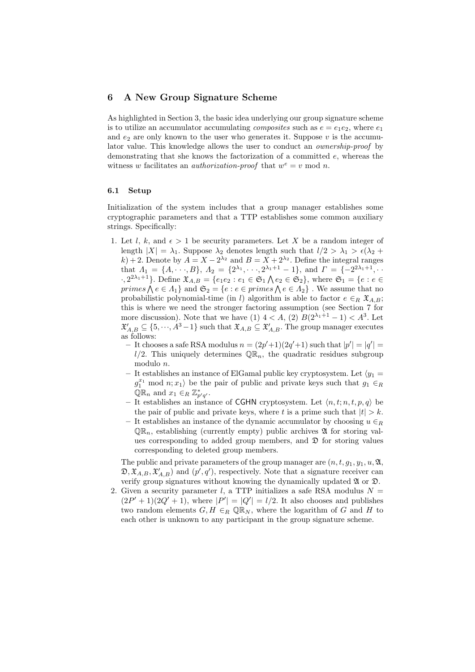# 6 A New Group Signature Scheme

As highlighted in Section 3, the basic idea underlying our group signature scheme is to utilize an accumulator accumulating *composites* such as  $e = e_1e_2$ , where  $e_1$ and  $e_2$  are only known to the user who generates it. Suppose  $v$  is the accumulator value. This knowledge allows the user to conduct an ownership-proof by demonstrating that she knows the factorization of a committed e, whereas the witness w facilitates an *authorization-proof* that  $w^e = v \mod n$ .

## 6.1 Setup

Initialization of the system includes that a group manager establishes some cryptographic parameters and that a TTP establishes some common auxiliary strings. Specifically:

- 1. Let l, k, and  $\epsilon > 1$  be security parameters. Let X be a random integer of length  $|X| = \lambda_1$ . Suppose  $\lambda_2$  denotes length such that  $l/2 > \lambda_1 > \epsilon(\lambda_2 + \lambda_1)$ k) + 2. Denote by  $A = X - 2^{\lambda_2}$  and  $B = X + 2^{\lambda_2}$ . Define the integral ranges that  $\Lambda_1 = \{A, \dots, B\}, \ \Lambda_2 = \{2^{\lambda_1}, \dots, 2^{\lambda_1+1} - 1\}, \text{ and } \Gamma = \{-2^{2\lambda_1+1}, \dots, 2^{2\lambda_n+1}\}$  $\{\cdot, 2^{2\lambda_1+1}\}\.$  Define  $\mathfrak{X}_{A,B} = \{e_1e_2 : e_1 \in \mathfrak{S}_1 \land e_2 \in \mathfrak{S}_2\}$ , where  $\mathfrak{S}_1 = \{e : e \in \mathfrak{S}_2\}$  $\forall$ , 2 i.e., B. Denne  $x_{A,B} = \{e_1e_2 : e_1 \in \mathfrak{S}_1 \mid e_2 \in \mathfrak{S}_2\}$ , where  $\mathfrak{S}_1 = \{e : e \in \text{primes } \setminus e \in \Lambda_2\}$ . We assume that no probabilistic polynomial-time (in l) algorithm is able to factor  $e \in_R \mathfrak{X}_{A,B}$ ; this is where we need the stronger factoring assumption (see Section 7 for more discussion). Note that we have (1)  $4 < A$ , (2)  $B(2^{\lambda_1+1}-1) < A^3$ . Let  $\mathfrak{X}_{A,B}' \subseteq \{5,\cdots,A^3-1\}$  such that  $\mathfrak{X}_{A,B} \subseteq \mathfrak{X}_{A,B}'$ . The group manager executes as follows:
	- It chooses a safe RSA modulus  $n = (2p'+1)(2q'+1)$  such that  $|p'| = |q'|$  $l/2$ . This uniquely determines  $\mathbb{QR}_n$ , the quadratic residues subgroup modulo n.
	- It establishes an instance of ElGamal public key cryptosystem. Let  $\langle y_1 =$  $g_1^{x_1}$  mod  $n; x_1$  be the pair of public and private keys such that  $g_1 \in R$  $\mathbb{QR}_n$  and  $x_1 \in_R \mathbb{Z}_{p'q'}^*$ .
	- It establishes an instance of CGHN cryptosystem. Let  $\langle n, t; n, t, p, q \rangle$  be the pair of public and private keys, where t is a prime such that  $|t| > k$ .
	- It establishes an instance of the dynamic accumulator by choosing  $u \in_R$  $\mathbb{QR}_n$ , establishing (currently empty) public archives  $\mathfrak A$  for storing values corresponding to added group members, and  $\mathfrak D$  for storing values corresponding to deleted group members.

The public and private parameters of the group manager are  $(n, t, g_1, y_1, u, \mathfrak{A})$ ,  $\mathfrak{D}, \mathfrak{X}_{A,B}, \mathfrak{X}_{A,B}'$  and  $(p', q')$ , respectively. Note that a signature receiver can verify group signatures without knowing the dynamically updated  $\mathfrak{A}$  or  $\mathfrak{D}$ .

2. Given a security parameter l, a TTP initializes a safe RSA modulus  $N =$  $(2P' + 1)(2Q' + 1)$ , where  $|P'| = |Q'| = l/2$ . It also chooses and publishes two random elements  $G, H \in_R \mathbb{QR}_N$ , where the logarithm of G and H to each other is unknown to any participant in the group signature scheme.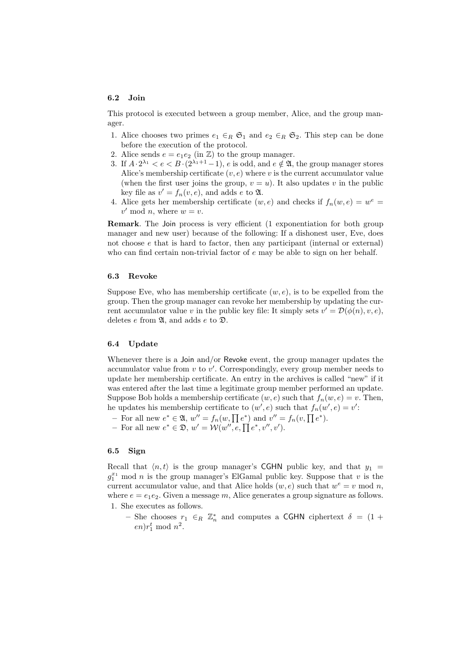#### 6.2 Join

This protocol is executed between a group member, Alice, and the group manager.

- 1. Alice chooses two primes  $e_1 \in_R \mathfrak{S}_1$  and  $e_2 \in_R \mathfrak{S}_2$ . This step can be done before the execution of the protocol.
- 2. Alice sends  $e = e_1 e_2$  (in  $\mathbb{Z}$ ) to the group manager.
- 3. If  $A \cdot 2^{\lambda_1} < e < B \cdot (2^{\lambda_1+1}-1)$ , e is odd, and  $e \notin \mathfrak{A}$ , the group manager stores Alice's membership certificate  $(v, e)$  where v is the current accumulator value (when the first user joins the group,  $v = u$ ). It also updates v in the public key file as  $v' = f_n(v, e)$ , and adds e to  $\mathfrak{A}$ .
- 4. Alice gets her membership certificate  $(w, e)$  and checks if  $f_n(w, e) = w^e$  $v' \mod n$ , where  $w = v$ .

Remark. The Join process is very efficient (1 exponentiation for both group manager and new user) because of the following: If a dishonest user, Eve, does not choose e that is hard to factor, then any participant (internal or external) who can find certain non-trivial factor of e may be able to sign on her behalf.

#### 6.3 Revoke

Suppose Eve, who has membership certificate  $(w, e)$ , is to be expelled from the group. Then the group manager can revoke her membership by updating the current accumulator value v in the public key file: It simply sets  $v' = \mathcal{D}(\phi(n), v, e)$ , deletes  $e$  from  $\mathfrak{A}$ , and adds  $e$  to  $\mathfrak{D}$ .

## 6.4 Update

Whenever there is a Join and/or Revoke event, the group manager updates the accumulator value from  $v$  to  $v'$ . Correspondingly, every group member needs to update her membership certificate. An entry in the archives is called "new" if it was entered after the last time a legitimate group member performed an update. Suppose Bob holds a membership certificate  $(w, e)$  such that  $f_n(w, e) = v$ . Then, he updates his membership certificate to  $(w', e)$  such that  $f_n(w', e) = v'$ :

- For all new  $e^* \in \mathfrak{A}$ ,  $w'' = f_n(w, \prod e^*)$  and  $v'' = f_n(v, \prod e^*)$ .
- For all new  $e^x \in \mathfrak{A}$ ,  $w^y = f_n(w, \prod e^y)$  and  $v^y =$ <br>
− For all new  $e^* \in \mathfrak{D}$ ,  $w' = \mathcal{W}(w'', e, \prod e^*, v'', v')$ .

## 6.5 Sign

Recall that  $\langle n, t \rangle$  is the group manager's CGHN public key, and that  $y_1$  =  $g_1^{x_1}$  mod n is the group manager's ElGamal public key. Suppose that v is the current accumulator value, and that Alice holds  $(w, e)$  such that  $w^e = v \mod n$ , where  $e = e_1 e_2$ . Given a message m, Alice generates a group signature as follows. 1. She executes as follows.

- She chooses  $r_1$  ∈<sub>R</sub>  $\mathbb{Z}_n^*$  and computes a CGHN ciphertext δ = (1 +  $en)r_1^t \mod n^2$ .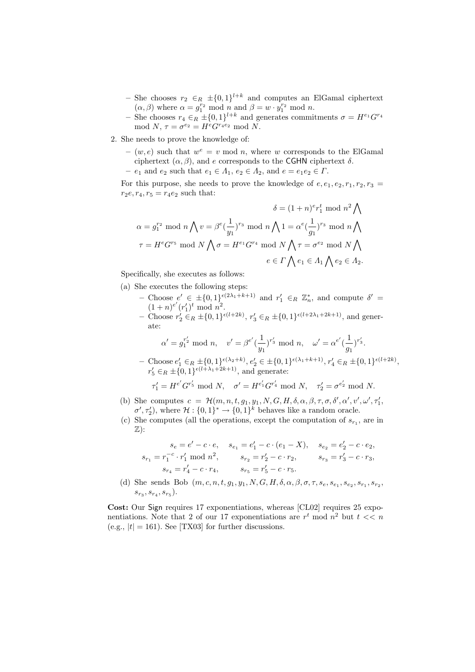- She chooses  $r_2$  ∈<sub>R</sub>  $\pm$ {0,1}<sup>*l*+k</sup> and computes an ElGamal ciphertext</sup>  $(\alpha, \beta)$  where  $\alpha = g_1^{r_2} \mod n$  and  $\beta = w \cdot y_1^{r_2} \mod n$ .
- She chooses  $r_4 ∈ R ⊥ {0, 1}$ <sup> $l+k$ </sup> and generates commitments  $σ = H<sup>e₁</sup>G<sup>r₄</sup>$ mod  $N, \tau = \sigma^{e_2} = H^e G^{r_4 e_2} \text{ mod } N.$
- 2. She needs to prove the knowledge of:
	- $-(w, e)$  such that  $w^e = v \mod n$ , where w corresponds to the ElGamal ciphertext  $(\alpha, \beta)$ , and e corresponds to the CGHN ciphertext  $\delta$ .
	- $e_1$  and  $e_2$  such that  $e_1 \in A_1$ ,  $e_2 \in A_2$ , and  $e = e_1 e_2 \in \Gamma$ .

For this purpose, she needs to prove the knowledge of  $e, e_1, e_2, r_1, r_2, r_3 =$  $r_2e, r_4, r_5 = r_4e_2$  such that:

$$
\delta = (1+n)^e r_1^t \mod n^2 \bigwedge
$$
  

$$
\alpha = g_1^{r_2} \mod n \bigwedge v = \beta^e \left(\frac{1}{y_1}\right)^{r_3} \mod n \bigwedge 1 = \alpha^e \left(\frac{1}{g_1}\right)^{r_3} \mod n \bigwedge
$$
  

$$
\tau = H^e G^{r_5} \mod N \bigwedge \sigma = H^{e_1} G^{r_4} \mod N \bigwedge \tau = \sigma^{e_2} \mod N \bigwedge
$$
  

$$
e \in \Gamma \bigwedge e_1 \in \Lambda_1 \bigwedge e_2 \in \Lambda_2.
$$

Specifically, she executes as follows:

- (a) She executes the following steps:
	- Choose  $e' \in \pm \{0,1\}^{\epsilon(2\lambda_1+k+1)}$  and  $r'_1 \in_R \mathbb{Z}_n^*$ , and compute  $\delta' =$  $(1+n)^{e'}(r'_1)^t \mod n^2$ .
	- Choose  $r'_2 \in_R \pm \{0,1\}^{\epsilon(l+2k)}$ ,  $r'_3 \in_R \pm \{0,1\}^{\epsilon(l+2\lambda_1+2k+1)}$ , and generate:

$$
\alpha' = g_1^{r'_2} \mod n, \quad v' = \beta^{e'}(\frac{1}{y_1})^{r'_3} \mod n, \quad \omega' = \alpha^{e'}(\frac{1}{g_1})^{r'_3}.
$$
  
– Choose  $e'_1 \in_R \pm \{0,1\}^{\epsilon(\lambda_2+k)}, e'_2 \in \pm \{0,1\}^{\epsilon(\lambda_1+k+1)}, r'_4 \in_R \pm \{0,1\}^{\epsilon(l+2k)},$   
 $r'_5 \in_R \pm \{0,1\}^{\epsilon(l+\lambda_1+2k+1)}, \text{and generate:}$ 

$$
\tau_1' = H^{e'} G^{r_5'} \bmod N, \quad \sigma' = H^{e'_1} G^{r_4'} \bmod N, \quad \tau_2' = \sigma^{e'_2} \bmod N.
$$

- (b) She computes  $c = \mathcal{H}(m, n, t, g_1, y_1, N, G, H, \delta, \alpha, \beta, \tau, \sigma, \delta', \alpha', v', \omega', \tau_1',$  $\sigma', \tau_2'$ ), where  $\mathcal{H} : \{0,1\}^* \to \{0,1\}^k$  behaves like a random oracle.
- (c) She computes (all the operations, except the computation of  $s_{r_1}$ , are in Z):

$$
s_e = e' - c \cdot e, \quad s_{e_1} = e'_1 - c \cdot (e_1 - X), \quad s_{e_2} = e'_2 - c \cdot e_2,
$$
  
\n
$$
s_{r_1} = r_1^{-c} \cdot r'_1 \mod n^2, \quad s_{r_2} = r'_2 - c \cdot r_2, \quad s_{r_3} = r'_3 - c \cdot r_3,
$$
  
\n
$$
s_{r_4} = r'_4 - c \cdot r_4, \quad s_{r_5} = r'_5 - c \cdot r_5.
$$

(d) She sends Bob  $(m, c, n, t, g_1, y_1, N, G, H, \delta, \alpha, \beta, \sigma, \tau, s_e, s_{e_1}, s_{e_2}, s_{r_1}, s_{r_2},$  $s_{r_3}, s_{r_4}, s_{r_5}$ ).

Cost: Our Sign requires 17 exponentiations, whereas [CL02] requires 25 exponentiations. Note that 2 of our 17 exponentiations are  $r<sup>t</sup>$  mod  $n<sup>2</sup>$  but  $t \ll n$ (e.g.,  $|t| = 161$ ). See [TX03] for further discussions.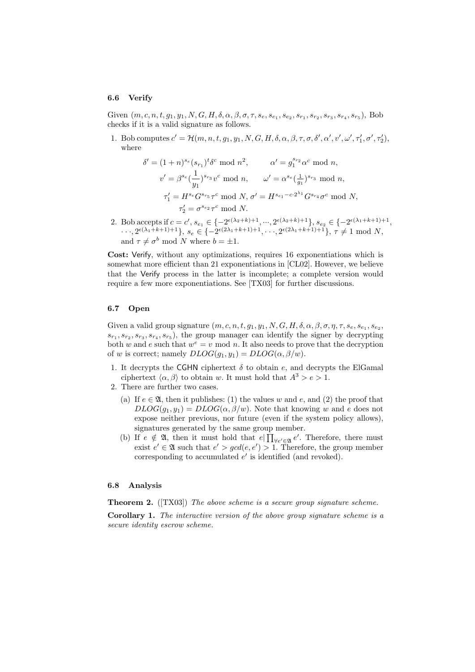#### 6.6 Verify

Given  $(m, c, n, t, g_1, y_1, N, G, H, \delta, \alpha, \beta, \sigma, \tau, s_e, s_{e_1}, s_{e_2}, s_{r_1}, s_{r_2}, s_{r_3}, s_{r_4}, s_{r_5})$ , Bob checks if it is a valid signature as follows.

1. Bob computes  $c' = \mathcal{H}(m, n, t, g_1, y_1, N, G, H, \delta, \alpha, \beta, \tau, \sigma, \delta', \alpha', v', \omega', \tau_1', \sigma', \tau_2'),$ where

$$
\delta' = (1+n)^{s_e}(s_{r_1})^t \delta^c \mod n^2, \qquad \alpha' = g_1^{s_{r_2}} \alpha^c \mod n,
$$
  

$$
v' = \beta^{s_e}(\frac{1}{y_1})^{s_{r_3}} v^c \mod n, \qquad \omega' = \alpha^{s_e}(\frac{1}{g_1})^{s_{r_3}} \mod n,
$$
  

$$
\tau'_1 = H^{s_e} G^{s_{r_5}} \tau^c \mod N, \sigma' = H^{s_{e_1} - c \cdot 2^{\lambda_1}} G^{s_{r_4}} \sigma^c \mod N,
$$
  

$$
\tau'_2 = \sigma^{s_{e_2}} \tau^c \mod N.
$$

2. Bob accepts if  $c = c'$ ,  $s_{e_1} \in \{-2^{\epsilon(\lambda_2 + k) + 1}, \dots, 2^{\epsilon(\lambda_2 + k) + 1}\}, s_{e_2} \in \{-2^{\epsilon(\lambda_1 + k + 1) + 1}, \dots, 2^{\epsilon(\lambda_2 + k)}\}$  $\cdots, 2^{\epsilon(\lambda_1+k+1)+1}\}, s_e \in \{-2^{\epsilon(2\lambda_1+k+1)+1}, \cdots, 2^{\epsilon(2\lambda_1+k+1)+1}\}, \tau \neq 1 \text{ mod } N,$ and  $\tau \neq \sigma^b \mod N$  where  $b = \pm 1$ .

Cost: Verify, without any optimizations, requires 16 exponentiations which is somewhat more efficient than 21 exponentiations in [CL02]. However, we believe that the Verify process in the latter is incomplete; a complete version would require a few more exponentiations. See [TX03] for further discussions.

#### 6.7 Open

Given a valid group signature  $(m, c, n, t, g_1, y_1, N, G, H, \delta, \alpha, \beta, \sigma, \eta, \tau, s_e, s_{e_1}, s_{e_2},$  $(s_{r_1}, s_{r_2}, s_{r_3}, s_{r_4}, s_{r_5})$ , the group manager can identify the signer by decrypting both w and e such that  $w^e = v \mod n$ . It also needs to prove that the decryption of w is correct; namely  $DLOG(g_1, y_1) = DLOG(\alpha, \beta/w)$ .

- 1. It decrypts the CGHN ciphertext  $\delta$  to obtain e, and decrypts the ElGamal ciphertext  $\langle \alpha, \beta \rangle$  to obtain w. It must hold that  $A^3 > e > 1$ .
- 2. There are further two cases.
	- (a) If  $e \in \mathfrak{A}$ , then it publishes: (1) the values w and e, and (2) the proof that  $DLOG(g_1, y_1) = DLOG(\alpha, \beta/w)$ . Note that knowing w and e does not expose neither previous, nor future (even if the system policy allows), signatures generated by the same group member.
	- (b) If  $e \notin \mathfrak{A}$ , then it must hold that  $e | \prod_{\forall e' \in \mathfrak{A}} e'$ . Therefore, there must exist  $e' \in \mathfrak{A}$  such that  $e' > \gcd(e, e') > 1$ . Therefore, the group member corresponding to accumulated  $e'$  is identified (and revoked).

## 6.8 Analysis

**Theorem 2.** ([TX03]) The above scheme is a secure group signature scheme.

Corollary 1. The interactive version of the above group signature scheme is a secure identity escrow scheme.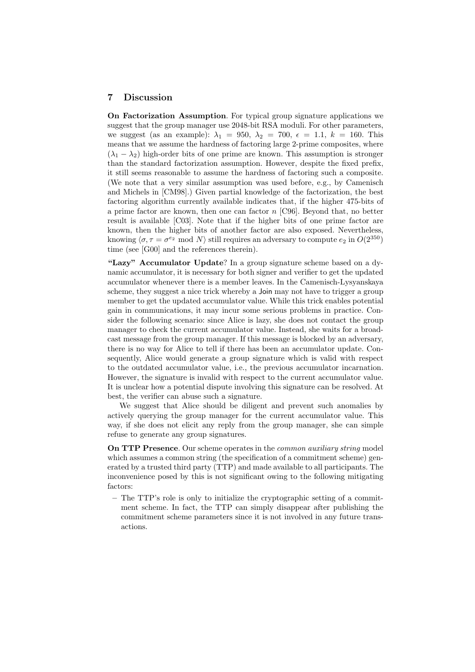# 7 Discussion

On Factorization Assumption. For typical group signature applications we suggest that the group manager use 2048-bit RSA moduli. For other parameters, we suggest (as an example):  $\lambda_1 = 950$ ,  $\lambda_2 = 700$ ,  $\epsilon = 1.1$ ,  $k = 160$ . This means that we assume the hardness of factoring large 2-prime composites, where  $(\lambda_1 - \lambda_2)$  high-order bits of one prime are known. This assumption is stronger than the standard factorization assumption. However, despite the fixed prefix, it still seems reasonable to assume the hardness of factoring such a composite. (We note that a very similar assumption was used before, e.g., by Camenisch and Michels in [CM98].) Given partial knowledge of the factorization, the best factoring algorithm currently available indicates that, if the higher 475-bits of a prime factor are known, then one can factor  $n$  [C96]. Beyond that, no better result is available [C03]. Note that if the higher bits of one prime factor are known, then the higher bits of another factor are also exposed. Nevertheless, knowing  $\langle \sigma, \tau = \sigma^{e_2} \mod N \rangle$  still requires an adversary to compute  $e_2$  in  $O(2^{350})$ time (see [G00] and the references therein).

"Lazy" Accumulator Update? In a group signature scheme based on a dynamic accumulator, it is necessary for both signer and verifier to get the updated accumulator whenever there is a member leaves. In the Camenisch-Lysyanskaya scheme, they suggest a nice trick whereby a Join may not have to trigger a group member to get the updated accumulator value. While this trick enables potential gain in communications, it may incur some serious problems in practice. Consider the following scenario: since Alice is lazy, she does not contact the group manager to check the current accumulator value. Instead, she waits for a broadcast message from the group manager. If this message is blocked by an adversary, there is no way for Alice to tell if there has been an accumulator update. Consequently, Alice would generate a group signature which is valid with respect to the outdated accumulator value, i.e., the previous accumulator incarnation. However, the signature is invalid with respect to the current accumulator value. It is unclear how a potential dispute involving this signature can be resolved. At best, the verifier can abuse such a signature.

We suggest that Alice should be diligent and prevent such anomalies by actively querying the group manager for the current accumulator value. This way, if she does not elicit any reply from the group manager, she can simple refuse to generate any group signatures.

On TTP Presence. Our scheme operates in the common auxiliary string model which assumes a common string (the specification of a commitment scheme) generated by a trusted third party (TTP) and made available to all participants. The inconvenience posed by this is not significant owing to the following mitigating factors:

– The TTP's role is only to initialize the cryptographic setting of a commitment scheme. In fact, the TTP can simply disappear after publishing the commitment scheme parameters since it is not involved in any future transactions.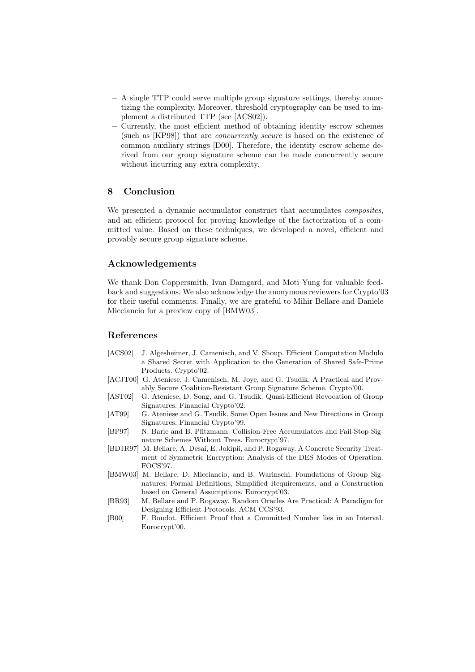- A single TTP could serve multiple group signature settings, thereby amortizing the complexity. Moreover, threshold cryptography can be used to implement a distributed TTP (see [ACS02]).
- Currently, the most efficient method of obtaining identity escrow schemes (such as [KP98]) that are concurrently secure is based on the existence of common auxiliary strings [D00]. Therefore, the identity escrow scheme derived from our group signature scheme can be made concurrently secure without incurring any extra complexity.

# 8 Conclusion

We presented a dynamic accumulator construct that accumulates *composites*, and an efficient protocol for proving knowledge of the factorization of a committed value. Based on these techniques, we developed a novel, efficient and provably secure group signature scheme.

# Acknowledgements

We thank Don Coppersmith, Ivan Damgard, and Moti Yung for valuable feedback and suggestions. We also acknowledge the anonymous reviewers for Crypto'03 for their useful comments. Finally, we are grateful to Mihir Bellare and Daniele Micciancio for a preview copy of [BMW03].

# References

- [ACS02] J. Algesheimer, J. Camenisch, and V. Shoup. Efficient Computation Modulo a Shared Secret with Application to the Generation of Shared Safe-Prime Products. Crypto'02.
- [ACJT00] G. Ateniese, J. Camenisch, M. Joye, and G. Tsudik. A Practical and Provably Secure Coalition-Resistant Group Signature Scheme. Crypto'00.
- [AST02] G. Ateniese, D. Song, and G. Tsudik. Quasi-Efficient Revocation of Group Signatures. Financial Crypto'02.
- [AT99] G. Ateniese and G. Tsudik. Some Open Issues and New Directions in Group Signatures. Financial Crypto'99.
- [BP97] N. Baric and B. Pfitzmann. Collision-Free Accumulators and Fail-Stop Signature Schemes Without Trees. Eurocrypt'97.
- [BDJR97] M. Bellare, A. Desai, E. Jokipii, and P. Rogaway. A Concrete Security Treatment of Symmetric Encryption: Analysis of the DES Modes of Operation. FOCS'97.
- [BMW03] M. Bellare, D. Micciancio, and B. Warinschi. Foundations of Group Signatures: Formal Definitions, Simplified Requirements, and a Construction based on General Assumptions. Eurocrypt'03.
- [BR93] M. Bellare and P. Rogaway. Random Oracles Are Practical: A Paradigm for Designing Efficient Protocols. ACM CCS'93.
- [B00] F. Boudot. Efficient Proof that a Committed Number lies in an Interval. Eurocrypt'00.